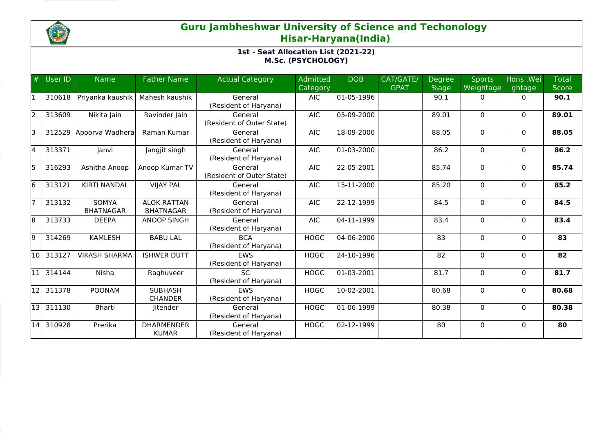

| #     | <b>User ID</b> | <b>Name</b>                      | <b>Father Name</b>                     | <b>Actual Category</b>               | Admitted<br>Category | <b>DOB</b> | CAT/GATE/<br><b>GPAT</b> | Degree<br>%age | <b>Sports</b><br>Weightage | Hons .Wei<br>ghtage | <b>Total</b><br><b>Score</b> |
|-------|----------------|----------------------------------|----------------------------------------|--------------------------------------|----------------------|------------|--------------------------|----------------|----------------------------|---------------------|------------------------------|
| 11    | 310618         | Priyanka kaushik                 | Mahesh kaushik                         | General<br>(Resident of Haryana)     | <b>AIC</b>           | 01-05-1996 |                          | 90.1           | 0                          | 0                   | 90.1                         |
| 2     | 313609         | Nikita Jain                      | Ravinder Jain                          | General<br>(Resident of Outer State) | <b>AIC</b>           | 05-09-2000 |                          | 89.01          | 0                          | $\Omega$            | 89.01                        |
| lз    | 312529         | Apoorva Wadhera                  | Raman Kumar                            | General<br>(Resident of Haryana)     | <b>AIC</b>           | 18-09-2000 |                          | 88.05          | $\mathbf 0$                | $\Omega$            | 88.05                        |
| 4     | 313371         | Janvi                            | Jangjit singh                          | General<br>(Resident of Haryana)     | <b>AIC</b>           | 01-03-2000 |                          | 86.2           | $\Omega$                   | $\mathbf{0}$        | 86.2                         |
| 5     | 316293         | Ashitha Anoop                    | Anoop Kumar TV                         | General<br>(Resident of Outer State) | <b>AIC</b>           | 22-05-2001 |                          | 85.74          | $\Omega$                   | $\Omega$            | 85.74                        |
| 6     | 313121         | <b>KIRTI NANDAL</b>              | <b>VIJAY PAL</b>                       | General<br>(Resident of Haryana)     | <b>AIC</b>           | 15-11-2000 |                          | 85.20          | 0                          | $\mathbf{0}$        | 85.2                         |
| 17    | 313132         | <b>SOMYA</b><br><b>BHATNAGAR</b> | <b>ALOK RATTAN</b><br><b>BHATNAGAR</b> | General<br>(Resident of Haryana)     | <b>AIC</b>           | 22-12-1999 |                          | 84.5           | $\mathbf 0$                | $\Omega$            | 84.5                         |
| 8     | 313733         | <b>DEEPA</b>                     | <b>ANOOP SINGH</b>                     | General<br>(Resident of Haryana)     | <b>AIC</b>           | 04-11-1999 |                          | 83.4           | 0                          | $\mathbf{0}$        | 83.4                         |
| l9    | 314269         | <b>KAMLESH</b>                   | <b>BABU LAL</b>                        | <b>BCA</b><br>(Resident of Haryana)  | <b>HOGC</b>          | 04-06-2000 |                          | 83             | $\mathbf 0$                | $\Omega$            | 83                           |
| 10    | 313127         | <b>VIKASH SHARMA</b>             | <b>ISHWER DUTT</b>                     | <b>EWS</b><br>(Resident of Haryana)  | <b>HOGC</b>          | 24-10-1996 |                          | 82             | $\Omega$                   | $\Omega$            | 82                           |
| 11    | 314144         | Nisha                            | Raghuveer                              | SC.<br>(Resident of Haryana)         | <b>HOGC</b>          | 01-03-2001 |                          | 81.7           | $\mathbf 0$                | $\mathbf{0}$        | 81.7                         |
| 12    | 311378         | <b>POONAM</b>                    | <b>SUBHASH</b><br><b>CHANDER</b>       | <b>FWS</b><br>(Resident of Haryana)  | <b>HOGC</b>          | 10-02-2001 |                          | 80.68          | $\Omega$                   | $\Omega$            | 80.68                        |
| l13 l | 311130         | <b>Bharti</b>                    | Jitender                               | General<br>(Resident of Haryana)     | <b>HOGC</b>          | 01-06-1999 |                          | 80.38          | 0                          | $\mathbf{0}$        | 80.38                        |
| 14    | 310928         | Prerika                          | <b>DHARMENDER</b><br><b>KUMAR</b>      | General<br>(Resident of Haryana)     | <b>HOGC</b>          | 02-12-1999 |                          | 80             | 0                          | $\Omega$            | 80                           |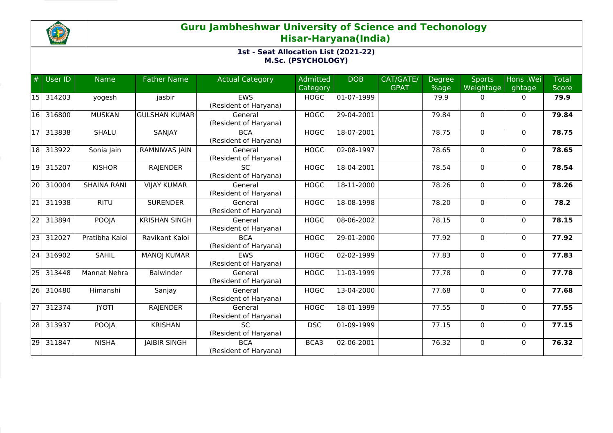

| #               | User ID | <b>Name</b>        | <b>Father Name</b>   | <b>Actual Category</b>              | Admitted<br>Category | <b>DOB</b>               | CAT/GATE/<br><b>GPAT</b> | Degree<br>%age | <b>Sports</b><br>Weightage | Hons .Wei<br>ghtage | <b>Total</b><br><b>Score</b> |
|-----------------|---------|--------------------|----------------------|-------------------------------------|----------------------|--------------------------|--------------------------|----------------|----------------------------|---------------------|------------------------------|
| l15 l           | 314203  | yogesh             | jasbir               | <b>EWS</b><br>(Resident of Haryana) | <b>HOGC</b>          | $\overline{01}$ -07-1999 |                          | 79.9           | $\mathbf{0}$               | $\mathbf{0}$        | 79.9                         |
| 16              | 316800  | <b>MUSKAN</b>      | <b>GULSHAN KUMAR</b> | General<br>(Resident of Haryana)    | <b>HOGC</b>          | 29-04-2001               |                          | 79.84          | $\mathbf{0}$               | $\Omega$            | 79.84                        |
| l1 7            | 313838  | SHALU              | SANJAY               | <b>BCA</b><br>(Resident of Haryana) | <b>HOGC</b>          | 18-07-2001               |                          | 78.75          | $\mathbf{0}$               | $\Omega$            | 78.75                        |
| 18              | 313922  | Sonia Jain         | RAMNIWAS JAIN        | General<br>(Resident of Haryana)    | <b>HOGC</b>          | 02-08-1997               |                          | 78.65          | $\mathbf{0}$               | $\mathbf{0}$        | 78.65                        |
| 19              | 315207  | <b>KISHOR</b>      | <b>RAJENDER</b>      | <b>SC</b><br>(Resident of Haryana)  | <b>HOGC</b>          | 18-04-2001               |                          | 78.54          | 0                          | $\Omega$            | 78.54                        |
| 20              | 310004  | <b>SHAINA RANI</b> | <b>VIJAY KUMAR</b>   | General<br>(Resident of Haryana)    | <b>HOGC</b>          | 18-11-2000               |                          | 78.26          | $\mathbf{0}$               | $\Omega$            | 78.26                        |
| $ 21\rangle$    | 311938  | <b>RITU</b>        | <b>SURENDER</b>      | General<br>(Resident of Haryana)    | <b>HOGC</b>          | 18-08-1998               |                          | 78.20          | $\mathbf 0$                | $\Omega$            | 78.2                         |
| 22              | 313894  | <b>POOJA</b>       | <b>KRISHAN SINGH</b> | General<br>(Resident of Haryana)    | <b>HOGC</b>          | 08-06-2002               |                          | 78.15          | $\mathbf{0}$               | $\Omega$            | 78.15                        |
| 23              | 312027  | Pratibha Kaloi     | Ravikant Kaloi       | <b>BCA</b><br>(Resident of Haryana) | <b>HOGC</b>          | 29-01-2000               |                          | 77.92          | 0                          | $\mathbf{0}$        | 77.92                        |
| 24              | 316902  | <b>SAHIL</b>       | <b>MANOJ KUMAR</b>   | <b>EWS</b><br>(Resident of Haryana) | <b>HOGC</b>          | 02-02-1999               |                          | 77.83          | 0                          | $\Omega$            | 77.83                        |
| 251             | 313448  | Mannat Nehra       | <b>Balwinder</b>     | General<br>(Resident of Haryana)    | <b>HOGC</b>          | 11-03-1999               |                          | 77.78          | $\mathbf{0}$               | $\Omega$            | 77.78                        |
| 26              | 310480  | Himanshi           | Sanjay               | General<br>(Resident of Haryana)    | <b>HOGC</b>          | 13-04-2000               |                          | 77.68          | 0                          | $\Omega$            | 77.68                        |
| 27 <sup>1</sup> | 312374  | <b>JYOTI</b>       | <b>RAJENDER</b>      | General<br>(Resident of Haryana)    | <b>HOGC</b>          | 18-01-1999               |                          | 77.55          | $\mathbf 0$                | $\mathbf{0}$        | 77.55                        |
| 28              | 313937  | POOJA              | <b>KRISHAN</b>       | <b>SC</b><br>(Resident of Haryana)  | <b>DSC</b>           | 01-09-1999               |                          | 77.15          | 0                          | $\mathbf{0}$        | 77.15                        |
| $\overline{29}$ | 311847  | <b>NISHA</b>       | <b>JAIBIR SINGH</b>  | <b>BCA</b><br>(Resident of Haryana) | BCA3                 | 02-06-2001               |                          | 76.32          | 0                          | $\Omega$            | 76.32                        |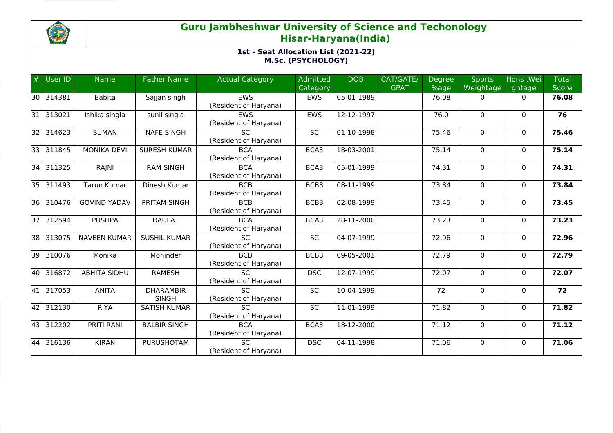

| #     | User ID   | <b>Name</b>         | <b>Father Name</b>  | <b>Actual Category</b> | <b>Admitted</b> | <b>DOB</b> | CAT/GATE/   | <b>Degree</b> | <b>Sports</b> | Hons .Wei    | Total        |
|-------|-----------|---------------------|---------------------|------------------------|-----------------|------------|-------------|---------------|---------------|--------------|--------------|
|       |           |                     |                     |                        | Category        |            | <b>GPAT</b> | %age          | Weightage     | ghtage       | <b>Score</b> |
| 130 I | 314381    | <b>Babita</b>       | Sajjan singh        | <b>EWS</b>             | EWS             | 05-01-1989 |             | 76.08         | 0             | $\mathbf{0}$ | 76.08        |
|       |           |                     |                     | (Resident of Haryana)  |                 |            |             |               |               |              |              |
| l31 l | 313021    | Ishika singla       | sunil singla        | <b>EWS</b>             | <b>EWS</b>      | 12-12-1997 |             | 76.0          | $\mathbf 0$   | $\Omega$     | 76           |
|       |           |                     |                     | (Resident of Haryana)  |                 |            |             |               |               |              |              |
| 32 I  | 314623    | <b>SUMAN</b>        | <b>NAFE SINGH</b>   | SC.                    | <b>SC</b>       | 01-10-1998 |             | 75.46         | $\mathbf 0$   | $\Omega$     | 75.46        |
|       |           |                     |                     | (Resident of Haryana)  |                 |            |             |               |               |              |              |
| 33 I  | 311845    | <b>MONIKA DEVI</b>  | <b>SURESH KUMAR</b> | <b>BCA</b>             | BCA3            | 18-03-2001 |             | 75.14         | $\mathbf 0$   | $\mathbf{0}$ | 75.14        |
|       |           |                     |                     | (Resident of Haryana)  |                 |            |             |               |               |              |              |
| 34    | 311325    | RAJNI               | <b>RAM SINGH</b>    | <b>BCA</b>             | BCA3            | 05-01-1999 |             | 74.31         | $\mathbf 0$   | $\Omega$     | 74.31        |
|       |           |                     |                     | (Resident of Haryana)  |                 |            |             |               |               |              |              |
| 35    | 311493    | Tarun Kumar         | Dinesh Kumar        | <b>BCB</b>             | BCB3            | 08-11-1999 |             | 73.84         | 0             | $\Omega$     | 73.84        |
|       |           |                     |                     | (Resident of Haryana)  |                 |            |             |               |               |              |              |
| l36 l | 310476    | <b>GOVIND YADAV</b> | PRITAM SINGH        | <b>BCB</b>             | BCB3            | 02-08-1999 |             | 73.45         | $\mathbf 0$   | $\mathbf{0}$ | 73.45        |
|       |           |                     |                     | (Resident of Haryana)  |                 |            |             |               |               |              |              |
| 37    | 312594    | <b>PUSHPA</b>       | <b>DAULAT</b>       | <b>BCA</b>             | BCA3            | 28-11-2000 |             | 73.23         | $\mathbf 0$   | $\Omega$     | 73.23        |
|       |           |                     |                     | (Resident of Haryana)  |                 |            |             |               |               |              |              |
| 38 I  | 313075    | <b>NAVEEN KUMAR</b> | <b>SUSHIL KUMAR</b> | <b>SC</b>              | SC              | 04-07-1999 |             | 72.96         | $\mathbf 0$   | $\mathbf{0}$ | 72.96        |
|       |           |                     |                     | (Resident of Haryana)  |                 |            |             |               |               |              |              |
| 39    | 310076    | Monika              | Mohinder            | <b>BCB</b>             | BCB3            | 09-05-2001 |             | 72.79         | 0             | $\mathbf{0}$ | 72.79        |
|       |           |                     |                     | (Resident of Haryana)  |                 |            |             |               |               |              |              |
| 40    | 316872    | <b>ABHITA SIDHU</b> | <b>RAMESH</b>       | $\overline{SC}$        | <b>DSC</b>      | 12-07-1999 |             | 72.07         | $\mathbf 0$   | $\Omega$     | 72.07        |
|       |           |                     |                     | (Resident of Haryana)  |                 |            |             |               |               |              |              |
|       | 41 317053 | <b>ANITA</b>        | <b>DHARAMBIR</b>    | <b>SC</b>              | SC              | 10-04-1999 |             | 72            | $\mathbf 0$   | $\mathbf{0}$ | 72           |
|       |           |                     | <b>SINGH</b>        | (Resident of Haryana)  |                 |            |             |               |               |              |              |
| 42    | 312130    | <b>RIYA</b>         | <b>SATISH KUMAR</b> | $\overline{SC}$        | SC              | 11-01-1999 |             | 71.82         | $\mathbf 0$   | $\mathbf{0}$ | 71.82        |
|       |           |                     |                     | (Resident of Haryana)  |                 |            |             |               |               |              |              |
| 43    | 312202    | PRITI RANI          | <b>BALBIR SINGH</b> | <b>BCA</b>             | BCA3            | 18-12-2000 |             | 71.12         | $\mathbf 0$   | $\Omega$     | 71.12        |
|       |           |                     |                     | (Resident of Haryana)  |                 |            |             |               |               |              |              |
| 44    | 316136    | <b>KIRAN</b>        | <b>PURUSHOTAM</b>   | <b>SC</b>              | <b>DSC</b>      | 04-11-1998 |             | 71.06         | 0             | $\Omega$     | 71.06        |
|       |           |                     |                     | (Resident of Haryana)  |                 |            |             |               |               |              |              |